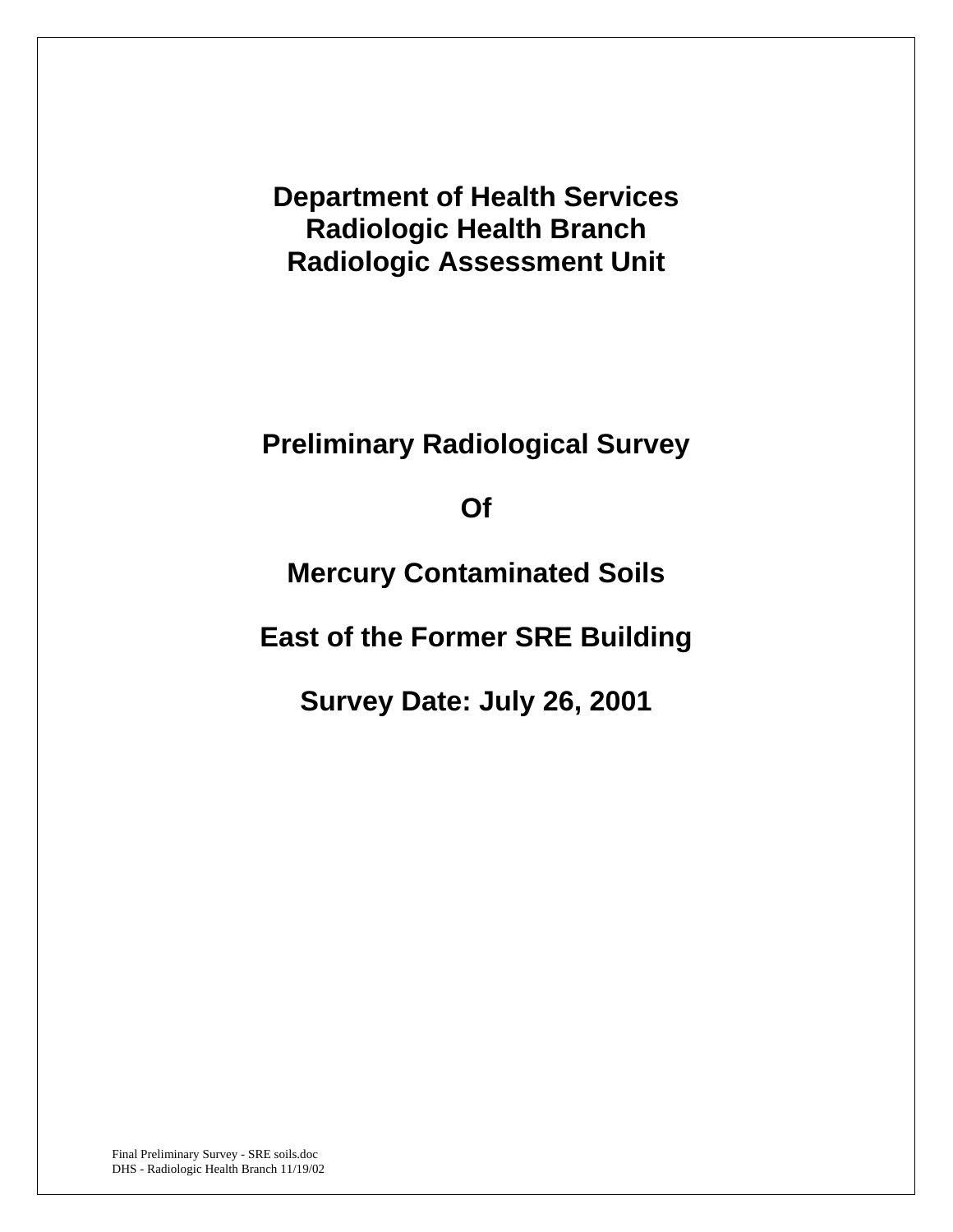**Department of Health Services Radiologic Health Branch Radiologic Assessment Unit** 

**Preliminary Radiological Survey** 

**Of** 

**Mercury Contaminated Soils** 

**East of the Former SRE Building** 

**Survey Date: July 26, 2001**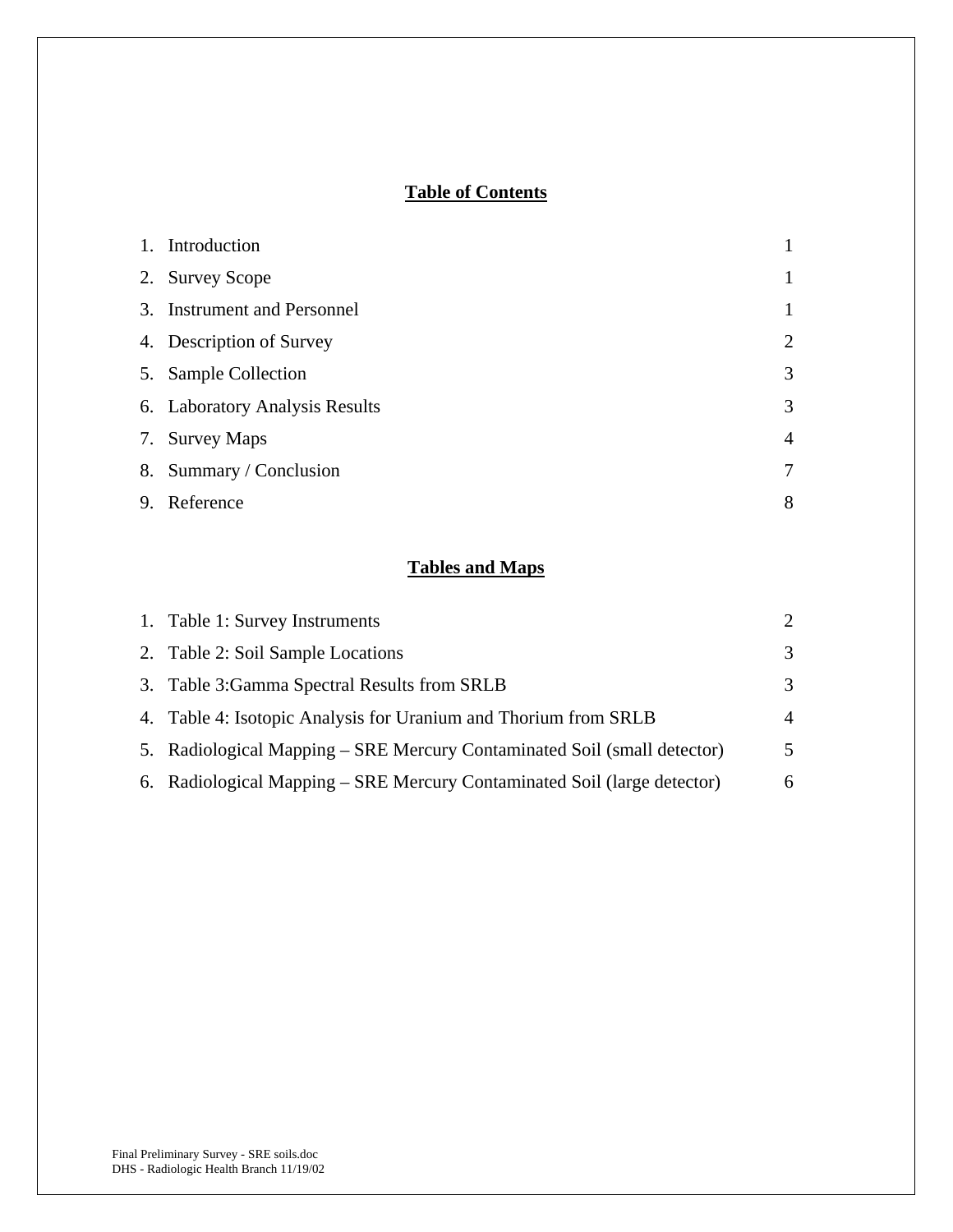# **Table of Contents**

| 1. Introduction                |                |
|--------------------------------|----------------|
| 2. Survey Scope                |                |
| 3. Instrument and Personnel    | 1              |
| 4. Description of Survey       | $\overline{2}$ |
| 5. Sample Collection           | 3              |
| 6. Laboratory Analysis Results | 3              |
| 7. Survey Maps                 | $\overline{4}$ |
| 8. Summary / Conclusion        | 7              |
| 9. Reference                   | 8              |

# **Tables and Maps**

| 1. Table 1: Survey Instruments                                           | $\mathcal{D}_{\mathcal{L}}$ |
|--------------------------------------------------------------------------|-----------------------------|
| 2. Table 2: Soil Sample Locations                                        | 3                           |
| 3. Table 3: Gamma Spectral Results from SRLB                             | 3                           |
| 4. Table 4: Isotopic Analysis for Uranium and Thorium from SRLB          | 4                           |
| 5. Radiological Mapping – SRE Mercury Contaminated Soil (small detector) | 5                           |
| 6. Radiological Mapping – SRE Mercury Contaminated Soil (large detector) | 6                           |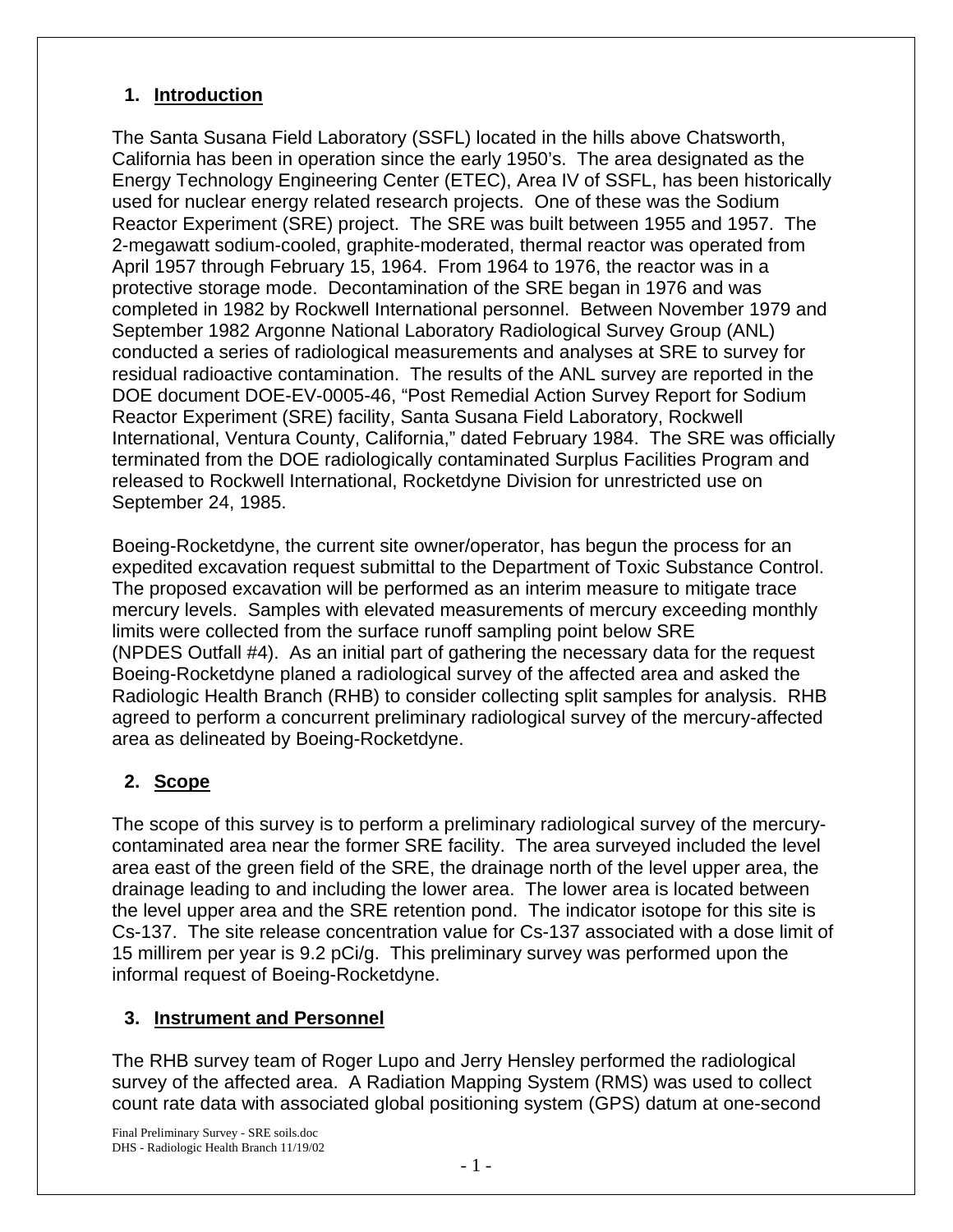## **1. Introduction**

The Santa Susana Field Laboratory (SSFL) located in the hills above Chatsworth, California has been in operation since the early 1950's. The area designated as the Energy Technology Engineering Center (ETEC), Area IV of SSFL, has been historically used for nuclear energy related research projects. One of these was the Sodium Reactor Experiment (SRE) project. The SRE was built between 1955 and 1957. The 2-megawatt sodium-cooled, graphite-moderated, thermal reactor was operated from April 1957 through February 15, 1964. From 1964 to 1976, the reactor was in a protective storage mode. Decontamination of the SRE began in 1976 and was completed in 1982 by Rockwell International personnel. Between November 1979 and September 1982 Argonne National Laboratory Radiological Survey Group (ANL) conducted a series of radiological measurements and analyses at SRE to survey for residual radioactive contamination. The results of the ANL survey are reported in the DOE document DOE-EV-0005-46, "Post Remedial Action Survey Report for Sodium Reactor Experiment (SRE) facility, Santa Susana Field Laboratory, Rockwell International, Ventura County, California," dated February 1984. The SRE was officially terminated from the DOE radiologically contaminated Surplus Facilities Program and released to Rockwell International, Rocketdyne Division for unrestricted use on September 24, 1985.

Boeing-Rocketdyne, the current site owner/operator, has begun the process for an expedited excavation request submittal to the Department of Toxic Substance Control. The proposed excavation will be performed as an interim measure to mitigate trace mercury levels. Samples with elevated measurements of mercury exceeding monthly limits were collected from the surface runoff sampling point below SRE (NPDES Outfall #4). As an initial part of gathering the necessary data for the request Boeing-Rocketdyne planed a radiological survey of the affected area and asked the Radiologic Health Branch (RHB) to consider collecting split samples for analysis. RHB agreed to perform a concurrent preliminary radiological survey of the mercury-affected area as delineated by Boeing-Rocketdyne.

# **2. Scope**

The scope of this survey is to perform a preliminary radiological survey of the mercurycontaminated area near the former SRE facility. The area surveyed included the level area east of the green field of the SRE, the drainage north of the level upper area, the drainage leading to and including the lower area. The lower area is located between the level upper area and the SRE retention pond. The indicator isotope for this site is Cs-137. The site release concentration value for Cs-137 associated with a dose limit of 15 millirem per year is 9.2 pCi/g. This preliminary survey was performed upon the informal request of Boeing-Rocketdyne.

## **3. Instrument and Personnel**

The RHB survey team of Roger Lupo and Jerry Hensley performed the radiological survey of the affected area. A Radiation Mapping System (RMS) was used to collect count rate data with associated global positioning system (GPS) datum at one-second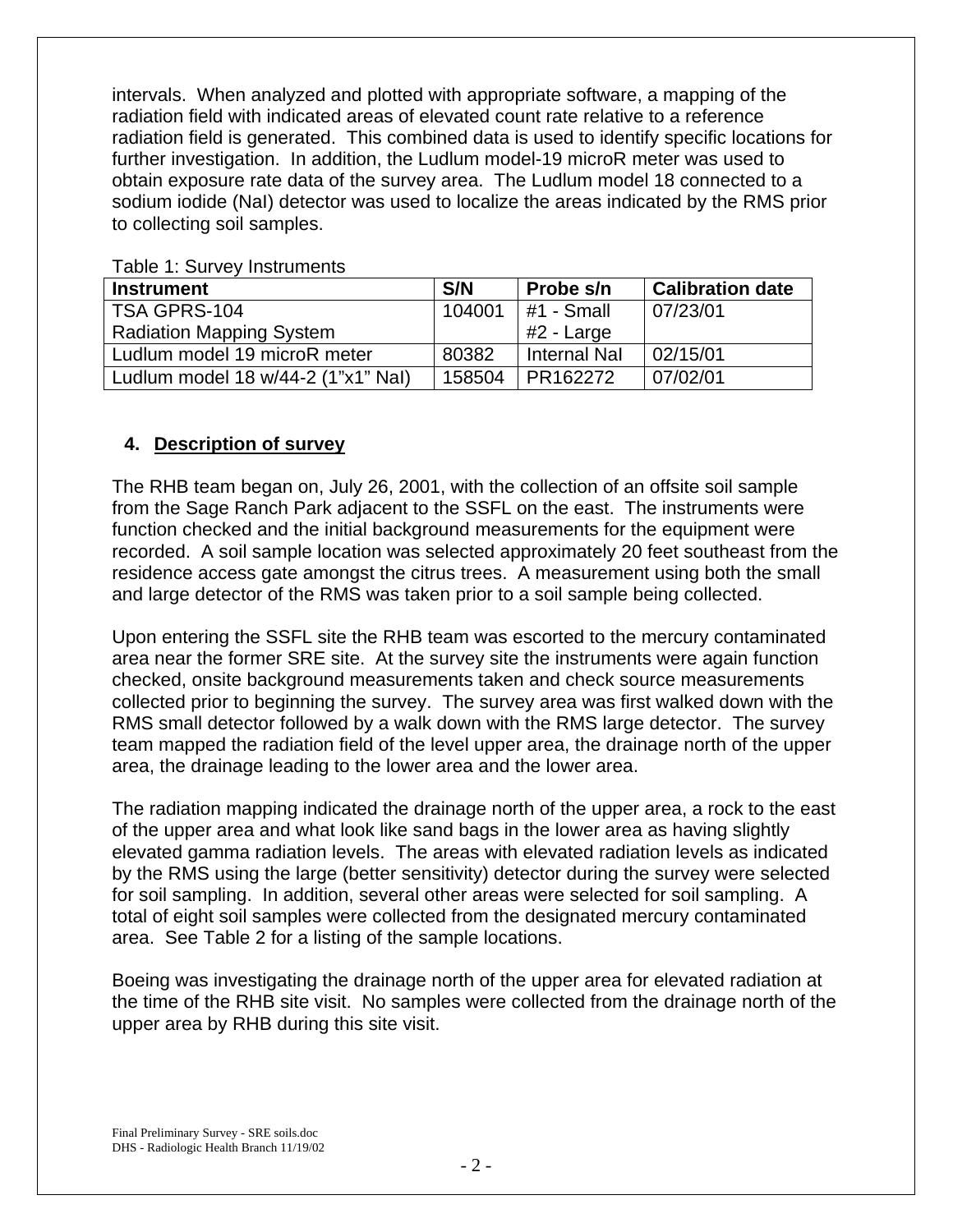intervals. When analyzed and plotted with appropriate software, a mapping of the radiation field with indicated areas of elevated count rate relative to a reference radiation field is generated. This combined data is used to identify specific locations for further investigation. In addition, the Ludlum model-19 microR meter was used to obtain exposure rate data of the survey area. The Ludlum model 18 connected to a sodium iodide (NaI) detector was used to localize the areas indicated by the RMS prior to collecting soil samples.

| <b>Instrument</b>                  | S/N    | Probe s/n           | <b>Calibration date</b> |  |  |  |  |  |
|------------------------------------|--------|---------------------|-------------------------|--|--|--|--|--|
| TSA GPRS-104                       | 104001 | $#1$ - Small        | 07/23/01                |  |  |  |  |  |
| <b>Radiation Mapping System</b>    |        | #2 - Large          |                         |  |  |  |  |  |
| Ludlum model 19 microR meter       | 80382  | <b>Internal Nal</b> | 02/15/01                |  |  |  |  |  |
| Ludlum model 18 w/44-2 (1"x1" Nal) | 158504 | PR162272            | 07/02/01                |  |  |  |  |  |

Table 1: Survey Instruments

### **4. Description of survey**

The RHB team began on, July 26, 2001, with the collection of an offsite soil sample from the Sage Ranch Park adjacent to the SSFL on the east. The instruments were function checked and the initial background measurements for the equipment were recorded. A soil sample location was selected approximately 20 feet southeast from the residence access gate amongst the citrus trees. A measurement using both the small and large detector of the RMS was taken prior to a soil sample being collected.

Upon entering the SSFL site the RHB team was escorted to the mercury contaminated area near the former SRE site. At the survey site the instruments were again function checked, onsite background measurements taken and check source measurements collected prior to beginning the survey. The survey area was first walked down with the RMS small detector followed by a walk down with the RMS large detector. The survey team mapped the radiation field of the level upper area, the drainage north of the upper area, the drainage leading to the lower area and the lower area.

The radiation mapping indicated the drainage north of the upper area, a rock to the east of the upper area and what look like sand bags in the lower area as having slightly elevated gamma radiation levels. The areas with elevated radiation levels as indicated by the RMS using the large (better sensitivity) detector during the survey were selected for soil sampling. In addition, several other areas were selected for soil sampling. A total of eight soil samples were collected from the designated mercury contaminated area. See Table 2 for a listing of the sample locations.

Boeing was investigating the drainage north of the upper area for elevated radiation at the time of the RHB site visit. No samples were collected from the drainage north of the upper area by RHB during this site visit.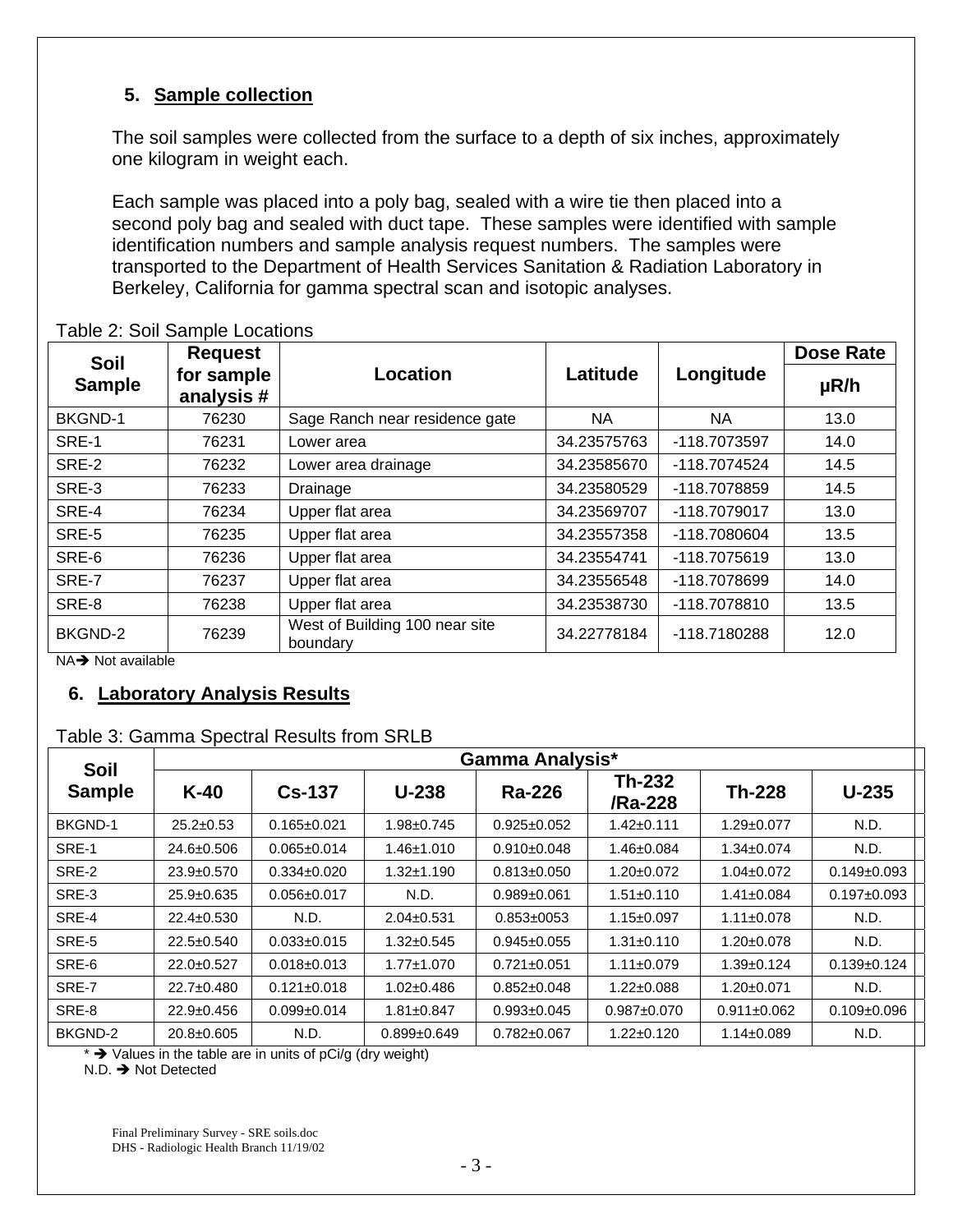## **5. Sample collection**

The soil samples were collected from the surface to a depth of six inches, approximately one kilogram in weight each.

Each sample was placed into a poly bag, sealed with a wire tie then placed into a second poly bag and sealed with duct tape. These samples were identified with sample identification numbers and sample analysis request numbers. The samples were transported to the Department of Health Services Sanitation & Radiation Laboratory in Berkeley, California for gamma spectral scan and isotopic analyses.

| Soil                                                                           | <b>Request</b>          |                                            |             |              | <b>Dose Rate</b> |
|--------------------------------------------------------------------------------|-------------------------|--------------------------------------------|-------------|--------------|------------------|
| <b>Sample</b>                                                                  | for sample<br>analysis# | Location                                   | Latitude    | Longitude    | $\mu$ R/h        |
| <b>BKGND-1</b>                                                                 | 76230                   | Sage Ranch near residence gate             | NA.         | <b>NA</b>    | 13.0             |
| SRE-1                                                                          | 76231                   | Lower area                                 | 34.23575763 | -118.7073597 | 14.0             |
| SRE-2                                                                          | 76232                   | Lower area drainage                        | 34.23585670 | -118.7074524 | 14.5             |
| SRE-3                                                                          | 76233                   | Drainage                                   | 34.23580529 | -118.7078859 | 14.5             |
| SRE-4                                                                          | 76234                   | Upper flat area                            | 34.23569707 | -118.7079017 | 13.0             |
| SRE-5                                                                          | 76235                   | Upper flat area                            | 34.23557358 | -118.7080604 | 13.5             |
| SRE-6                                                                          | 76236                   | Upper flat area                            | 34.23554741 | -118.7075619 | 13.0             |
| SRE-7                                                                          | 76237                   | Upper flat area                            | 34.23556548 | -118.7078699 | 14.0             |
| SRE-8                                                                          | 76238                   | Upper flat area                            | 34.23538730 | -118.7078810 | 13.5             |
| BKGND-2<br>76239<br>$\cdots$<br>$\mathbf{r}$ and $\mathbf{r}$ and $\mathbf{r}$ |                         | West of Building 100 near site<br>boundary | 34.22778184 | -118.7180288 | 12.0             |

#### Table 2: Soil Sample Locations

 $NA \rightarrow$  Not available

### **6. Laboratory Analysis Results**

## Table 3: Gamma Spectral Results from SRLB

| <b>Soil</b>   | <b>Gamma Analysis*</b> |                   |                  |                   |                          |                   |                   |  |  |
|---------------|------------------------|-------------------|------------------|-------------------|--------------------------|-------------------|-------------------|--|--|
| <b>Sample</b> | $K-40$                 | $Cs-137$          | $U-238$          | Ra-226            | <b>Th-232</b><br>/Ra-228 | <b>Th-228</b>     | $U-235$           |  |  |
| BKGND-1       | $25.2 \pm 0.53$        | $0.165 \pm 0.021$ | 1.98±0.745       | $0.925 \pm 0.052$ | $1.42 \pm 0.111$         | $1.29 \pm 0.077$  | N.D.              |  |  |
| SRE-1         | 24.6±0.506             | $0.065 \pm 0.014$ | $1.46 \pm 1.010$ | $0.910 \pm 0.048$ | 1.46±0.084               | $1.34 \pm 0.074$  | N.D.              |  |  |
| SRE-2         | $23.9 \pm 0.570$       | $0.334 \pm 0.020$ | $1.32 + 1.190$   | $0.813 \pm 0.050$ | 1.20±0.072               | $1.04 \pm 0.072$  | $0.149 \pm 0.093$ |  |  |
| SRE-3         | $25.9 \pm 0.635$       | $0.056 \pm 0.017$ | N.D.             | $0.989 + 0.061$   | $1.51 \pm 0.110$         | $1.41 \pm 0.084$  | $0.197 + 0.093$   |  |  |
| SRE-4         | $22.4 \pm 0.530$       | N.D.              | $2.04 \pm 0.531$ | $0.853 \pm 0053$  | $1.15 \pm 0.097$         | $1.11 \pm 0.078$  | N.D.              |  |  |
| SRE-5         | $22.5 \pm 0.540$       | $0.033 \pm 0.015$ | 1.32±0.545       | $0.945 \pm 0.055$ | $1.31 \pm 0.110$         | $1.20 \pm 0.078$  | N.D.              |  |  |
| SRE-6         | $22.0 \pm 0.527$       | $0.018 \pm 0.013$ | $1.77 \pm 1.070$ | $0.721 \pm 0.051$ | $1.11 \pm 0.079$         | $1.39 \pm 0.124$  | $0.139 \pm 0.124$ |  |  |
| SRE-7         | 22.7±0.480             | $0.121 \pm 0.018$ | $1.02 \pm 0.486$ | $0.852 \pm 0.048$ | $1.22 \pm 0.088$         | $1.20 \pm 0.071$  | N.D.              |  |  |
| SRE-8         | $22.9 \pm 0.456$       | $0.099 + 0.014$   | 1.81±0.847       | $0.993 \pm 0.045$ | $0.987 + 0.070$          | $0.911 \pm 0.062$ | $0.109 + 0.096$   |  |  |
| BKGND-2       | $20.8 \pm 0.605$       | N.D.              | $0.899 + 0.649$  | $0.782 \pm 0.067$ | $1.22 \pm 0.120$         | $1.14 \pm 0.089$  | N.D.              |  |  |

\*  $\rightarrow$  Values in the table are in units of pCi/g (dry weight)

 $N.D.$   $\rightarrow$  Not Detected

Final Preliminary Survey - SRE soils.doc DHS - Radiologic Health Branch 11/19/02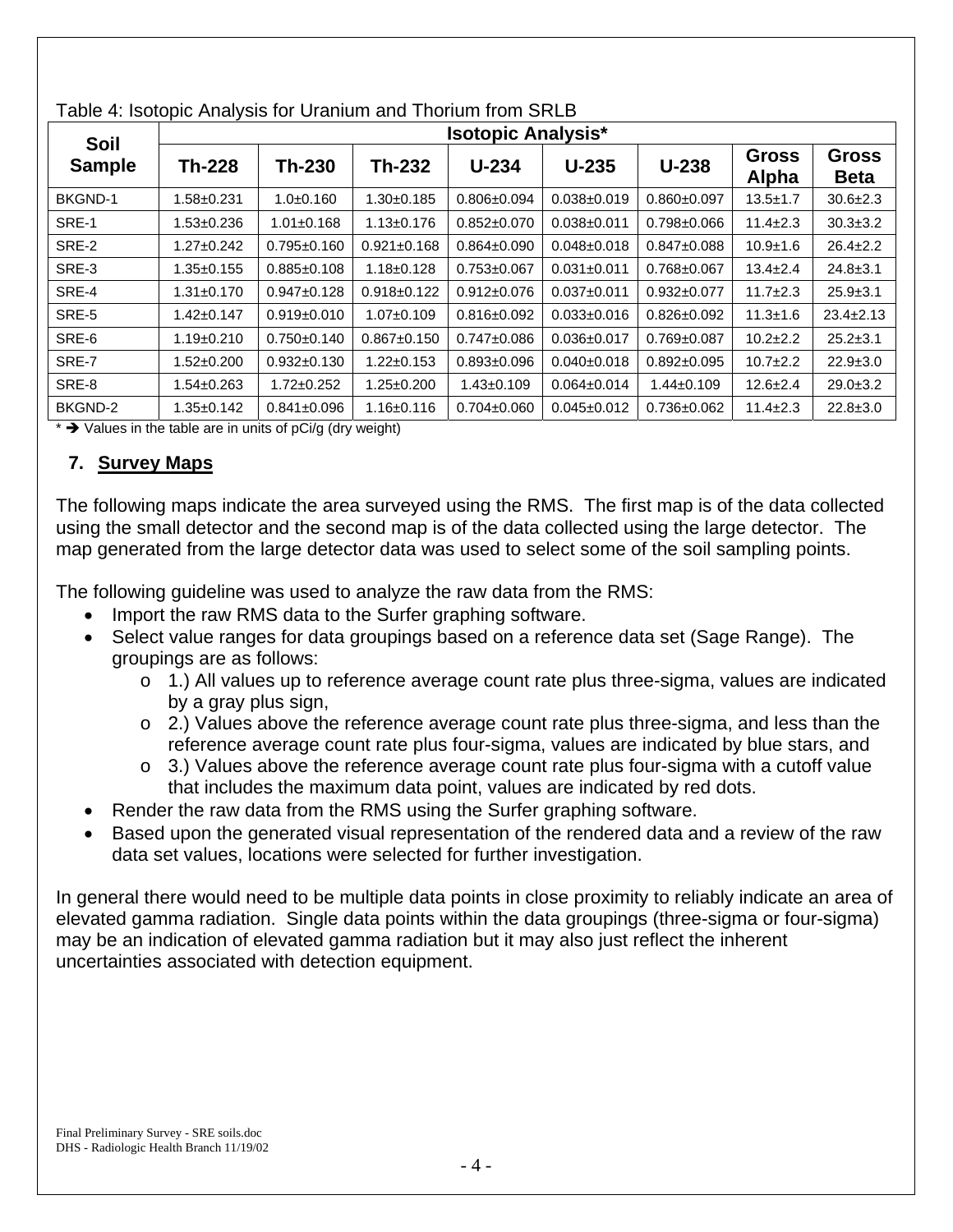|                              | <b>Isotopic Analysis*</b> |                   |                   |                   |                   |                   |                       |                             |  |
|------------------------------|---------------------------|-------------------|-------------------|-------------------|-------------------|-------------------|-----------------------|-----------------------------|--|
| <b>Soil</b><br><b>Sample</b> | <b>Th-228</b>             | <b>Th-230</b>     | Th-232            | $U-234$           | $U-235$           | $U-238$           | <b>Gross</b><br>Alpha | <b>Gross</b><br><b>Beta</b> |  |
| <b>BKGND-1</b>               | $1.58 + 0.231$            | $1.0+0.160$       | $1.30+0.185$      | $0.806 \pm 0.094$ | $0.038 + 0.019$   | $0.860 \pm 0.097$ | $13.5 + 1.7$          | $30.6 \pm 2.3$              |  |
| SRE-1                        | $1.53 \pm 0.236$          | $1.01 \pm 0.168$  | $1.13 \pm 0.176$  | $0.852 \pm 0.070$ | $0.038 + 0.011$   | $0.798 + 0.066$   | $11.4 \pm 2.3$        | $30.3 \pm 3.2$              |  |
| SRE-2                        | $1.27 \pm 0.242$          | $0.795 + 0.160$   | $0.921 \pm 0.168$ | $0.864 \pm 0.090$ | $0.048 + 0.018$   | $0.847 \pm 0.088$ | $10.9 + 1.6$          | $26.4 \pm 2.2$              |  |
| SRE-3                        | $1.35 \pm 0.155$          | $0.885 \pm 0.108$ | $1.18 \pm 0.128$  | $0.753 \pm 0.067$ | $0.031 \pm 0.011$ | $0.768 + 0.067$   | $13.4 \pm 2.4$        | $24.8 \pm 3.1$              |  |
| SRE-4                        | $1.31 \pm 0.170$          | $0.947 \pm 0.128$ | $0.918 \pm 0.122$ | $0.912 \pm 0.076$ | $0.037 + 0.011$   | $0.932 \pm 0.077$ | $11.7 \pm 2.3$        | $25.9 \pm 3.1$              |  |
| SRE-5                        | $1.42 \pm 0.147$          | $0.919 \pm 0.010$ | $1.07 \pm 0.109$  | $0.816 \pm 0.092$ | $0.033 \pm 0.016$ | $0.826 \pm 0.092$ | $11.3 \pm 1.6$        | $23.4 \pm 2.13$             |  |
| SRE-6                        | $1.19 \pm 0.210$          | $0.750 \pm 0.140$ | $0.867 \pm 0.150$ | $0.747 \pm 0.086$ | $0.036 \pm 0.017$ | $0.769 \pm 0.087$ | $10.2 + 2.2$          | $25.2 \pm 3.1$              |  |
| SRE-7                        | $1.52 \pm 0.200$          | $0.932 \pm 0.130$ | $1.22 \pm 0.153$  | $0.893 \pm 0.096$ | $0.040 \pm 0.018$ | $0.892 \pm 0.095$ | $10.7 + 2.2$          | $22.9 \pm 3.0$              |  |
| SRE-8                        | $1.54 \pm 0.263$          | $1.72 \pm 0.252$  | $1.25 \pm 0.200$  | $1.43 \pm 0.109$  | $0.064 \pm 0.014$ | $1.44 \pm 0.109$  | $12.6 \pm 2.4$        | $29.0 \pm 3.2$              |  |
| BKGND-2                      | $1.35 \pm 0.142$          | $0.841 \pm 0.096$ | $1.16 \pm 0.116$  | $0.704 \pm 0.060$ | $0.045 \pm 0.012$ | $0.736 \pm 0.062$ | $11.4 \pm 2.3$        | $22.8 \pm 3.0$              |  |

### Table 4: Isotopic Analysis for Uranium and Thorium from SRLB

 $*$   $\rightarrow$  Values in the table are in units of pCi/g (dry weight)

### **7. Survey Maps**

The following maps indicate the area surveyed using the RMS. The first map is of the data collected using the small detector and the second map is of the data collected using the large detector. The map generated from the large detector data was used to select some of the soil sampling points.

The following guideline was used to analyze the raw data from the RMS:

- Import the raw RMS data to the Surfer graphing software.
- Select value ranges for data groupings based on a reference data set (Sage Range). The groupings are as follows:
	- o 1.) All values up to reference average count rate plus three-sigma, values are indicated by a gray plus sign,
	- $\circ$  2.) Values above the reference average count rate plus three-sigma, and less than the reference average count rate plus four-sigma, values are indicated by blue stars, and
	- o 3.) Values above the reference average count rate plus four-sigma with a cutoff value that includes the maximum data point, values are indicated by red dots.
- Render the raw data from the RMS using the Surfer graphing software.
- Based upon the generated visual representation of the rendered data and a review of the raw data set values, locations were selected for further investigation.

In general there would need to be multiple data points in close proximity to reliably indicate an area of elevated gamma radiation. Single data points within the data groupings (three-sigma or four-sigma) may be an indication of elevated gamma radiation but it may also just reflect the inherent uncertainties associated with detection equipment.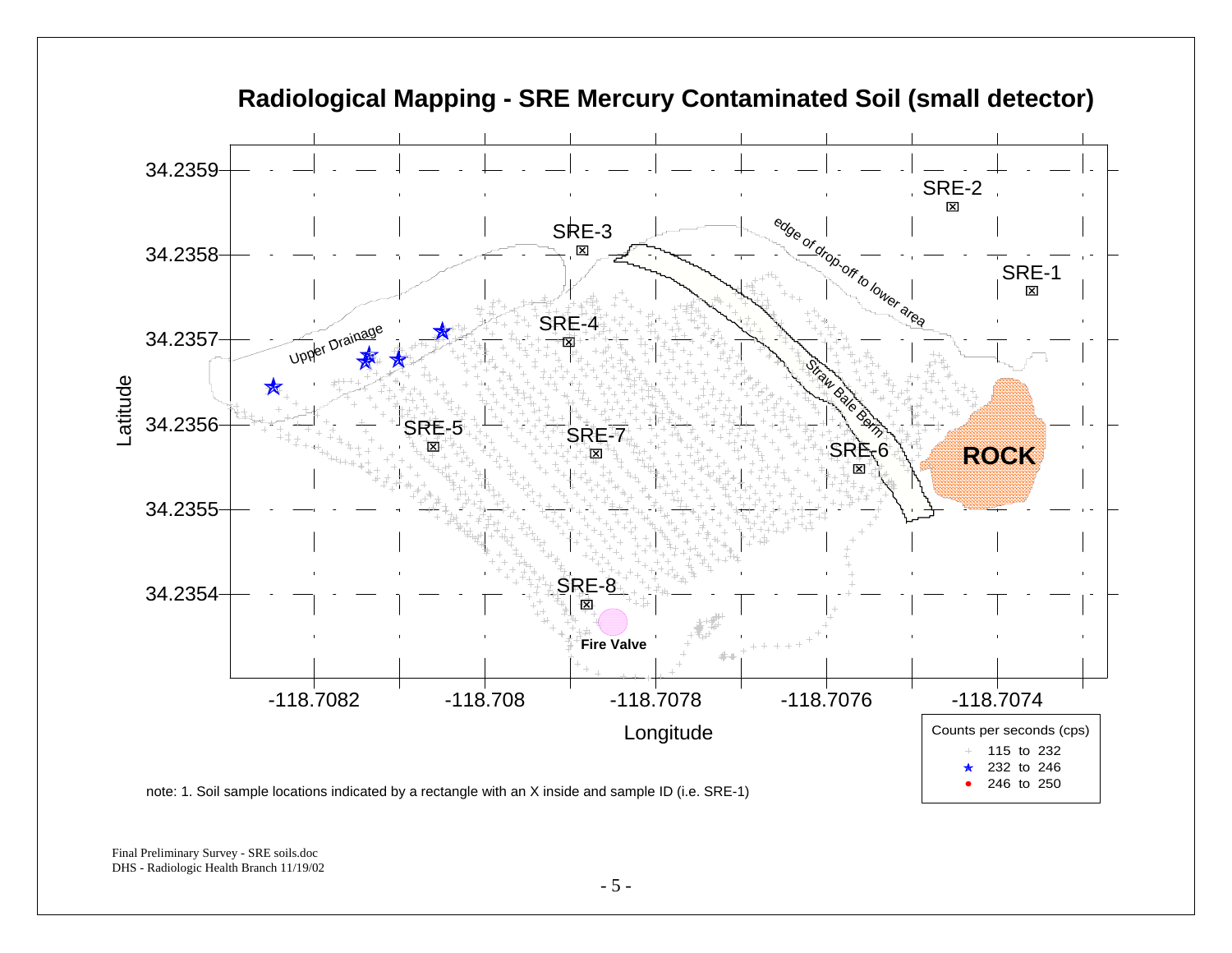

**Radiological Mapping - SRE Mercury Contaminated Soil (small detector)**

Final Preliminary Survey - SRE soils.doc DHS - Radiologic Health Branch 11/19/02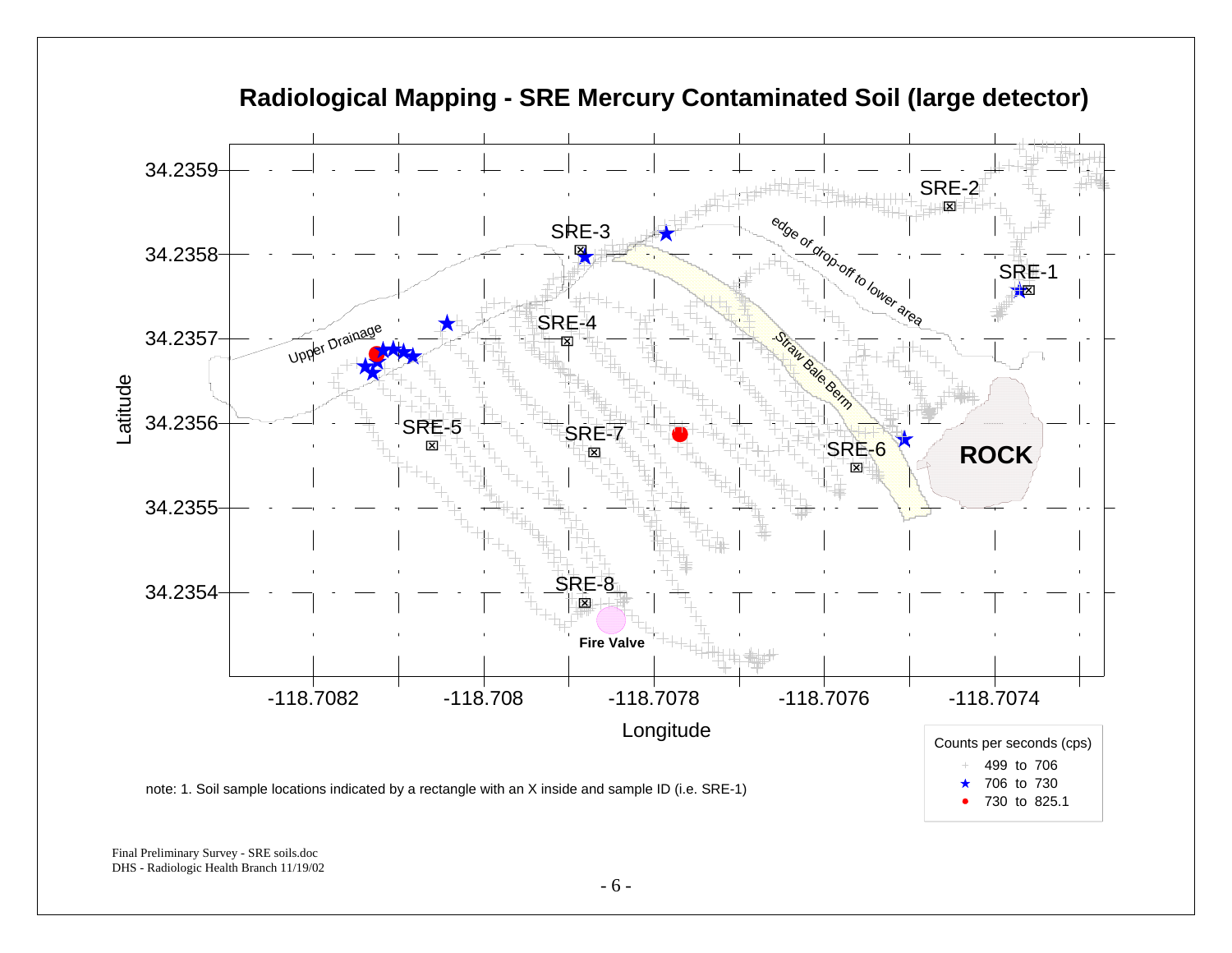

**Radiological Mapping - SRE Mercury Contaminated Soil (large detector)**

Final Preliminary Survey - SRE soils.doc DHS - Radiologic Health Branch 11/19/02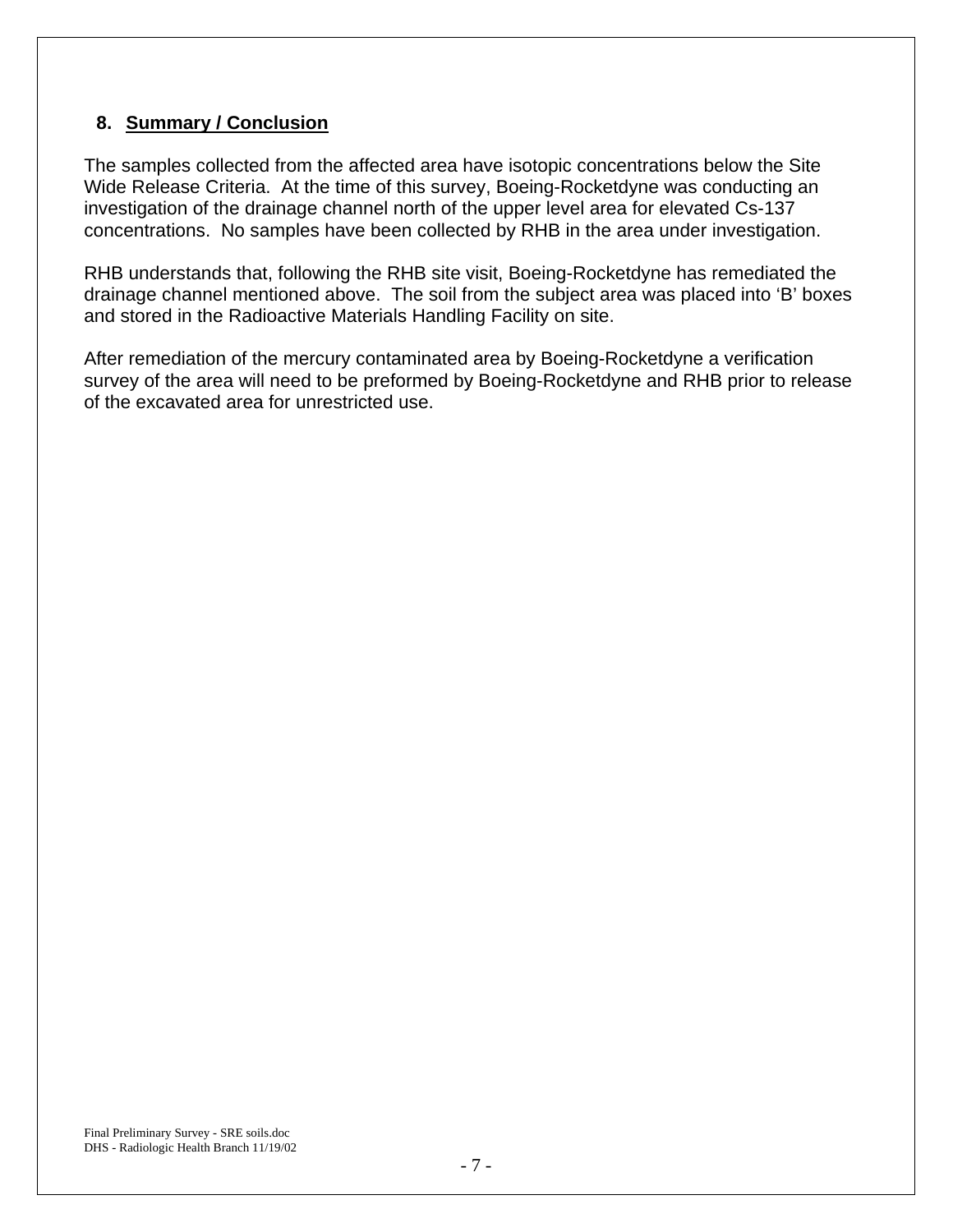## **8. Summary / Conclusion**

The samples collected from the affected area have isotopic concentrations below the Site Wide Release Criteria. At the time of this survey, Boeing-Rocketdyne was conducting an investigation of the drainage channel north of the upper level area for elevated Cs-137 concentrations. No samples have been collected by RHB in the area under investigation.

RHB understands that, following the RHB site visit, Boeing-Rocketdyne has remediated the drainage channel mentioned above. The soil from the subject area was placed into 'B' boxes and stored in the Radioactive Materials Handling Facility on site.

After remediation of the mercury contaminated area by Boeing-Rocketdyne a verification survey of the area will need to be preformed by Boeing-Rocketdyne and RHB prior to release of the excavated area for unrestricted use.